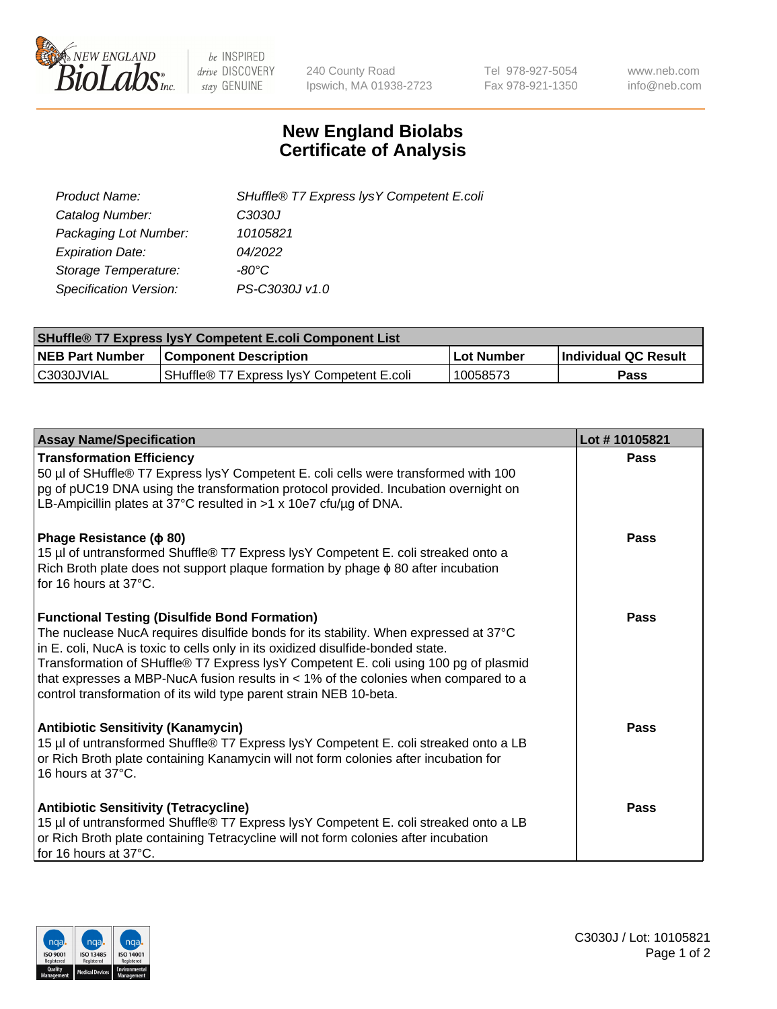

 $be$  INSPIRED drive DISCOVERY stay GENUINE

240 County Road Ipswich, MA 01938-2723 Tel 978-927-5054 Fax 978-921-1350 www.neb.com info@neb.com

## **New England Biolabs Certificate of Analysis**

| SHuffle® T7 Express lysY Competent E.coli |
|-------------------------------------------|
| C3030J                                    |
| 10105821                                  |
| 04/2022                                   |
| -80°C                                     |
| PS-C3030J v1.0                            |
|                                           |

| <b>SHuffle<sup>®</sup> T7 Express lysY Competent E.coli Component List</b> |                                           |            |                      |  |
|----------------------------------------------------------------------------|-------------------------------------------|------------|----------------------|--|
| <b>NEB Part Number</b>                                                     | <b>Component Description</b>              | Lot Number | Individual QC Result |  |
| IC3030JVIAL                                                                | SHuffle® T7 Express IvsY Competent E.coli | 10058573   | Pass                 |  |

| <b>Assay Name/Specification</b>                                                                                                                                                                                                                                                                                                                                                                                                                                                        | Lot #10105821 |
|----------------------------------------------------------------------------------------------------------------------------------------------------------------------------------------------------------------------------------------------------------------------------------------------------------------------------------------------------------------------------------------------------------------------------------------------------------------------------------------|---------------|
| <b>Transformation Efficiency</b><br>50 µl of SHuffle® T7 Express lysY Competent E. coli cells were transformed with 100<br>pg of pUC19 DNA using the transformation protocol provided. Incubation overnight on<br>LB-Ampicillin plates at 37°C resulted in >1 x 10e7 cfu/ug of DNA.                                                                                                                                                                                                    | Pass          |
| Phage Resistance ( $\phi$ 80)<br>15 µl of untransformed Shuffle® T7 Express lysY Competent E. coli streaked onto a<br>Rich Broth plate does not support plaque formation by phage $\phi$ 80 after incubation<br>for 16 hours at 37°C.                                                                                                                                                                                                                                                  | Pass          |
| <b>Functional Testing (Disulfide Bond Formation)</b><br>The nuclease NucA requires disulfide bonds for its stability. When expressed at 37°C<br>in E. coli, NucA is toxic to cells only in its oxidized disulfide-bonded state.<br>Transformation of SHuffle® T7 Express lysY Competent E. coli using 100 pg of plasmid<br>that expresses a MBP-NucA fusion results in $<$ 1% of the colonies when compared to a<br>control transformation of its wild type parent strain NEB 10-beta. | Pass          |
| <b>Antibiotic Sensitivity (Kanamycin)</b><br>15 µl of untransformed Shuffle® T7 Express lysY Competent E. coli streaked onto a LB<br>or Rich Broth plate containing Kanamycin will not form colonies after incubation for<br>16 hours at 37°C.                                                                                                                                                                                                                                         | Pass          |
| <b>Antibiotic Sensitivity (Tetracycline)</b><br>15 µl of untransformed Shuffle® T7 Express lysY Competent E. coli streaked onto a LB<br>or Rich Broth plate containing Tetracycline will not form colonies after incubation<br>for 16 hours at 37°C.                                                                                                                                                                                                                                   | Pass          |